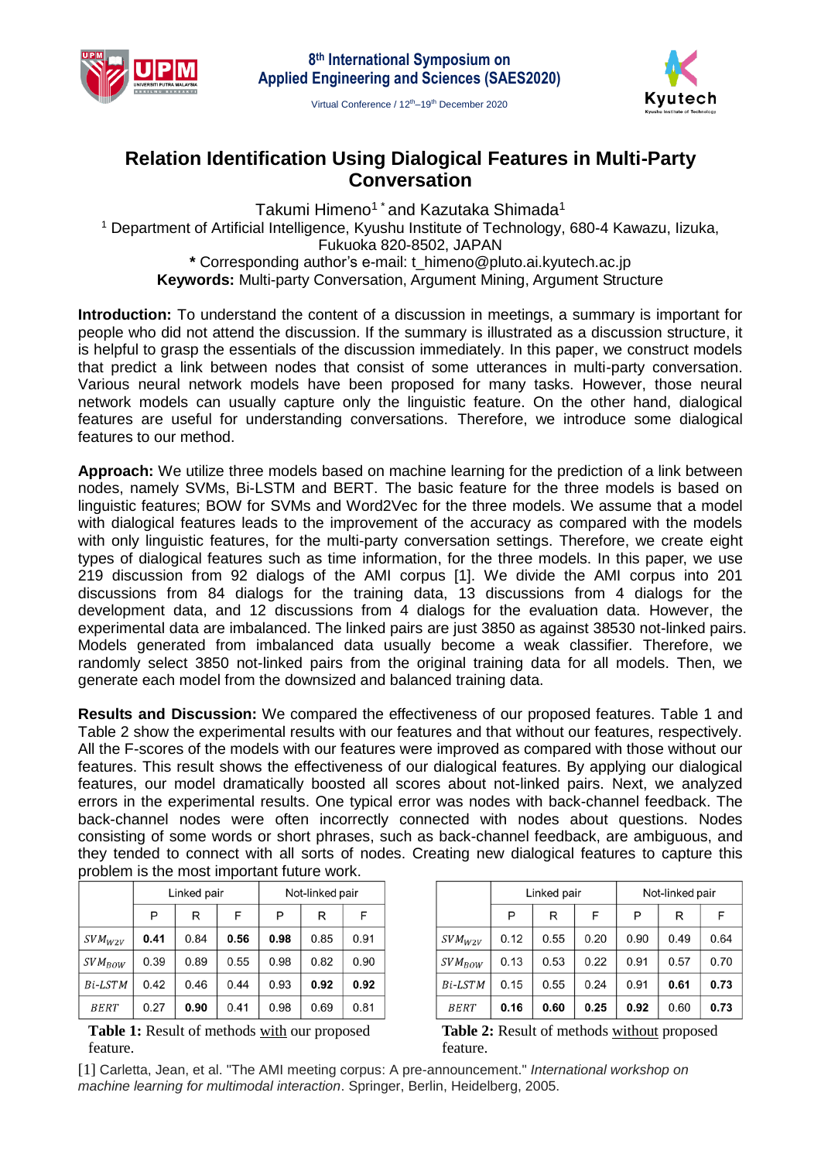



Virtual Conference / 12<sup>th</sup>-19<sup>th</sup> December 2020

# **Relation Identification Using Dialogical Features in Multi-Party Conversation**

Takumi Himeno<sup>1</sup><sup>\*</sup> and Kazutaka Shimada<sup>1</sup> <sup>1</sup> Department of Artificial Intelligence, Kyushu Institute of Technology, 680-4 Kawazu, Iizuka, Fukuoka 820-8502, JAPAN **\*** Corresponding author's e-mail: t\_himeno@pluto.ai.kyutech.ac.jp **Keywords:** Multi-party Conversation, Argument Mining, Argument Structure

**Introduction:** To understand the content of a discussion in meetings, a summary is important for people who did not attend the discussion. If the summary is illustrated as a discussion structure, it is helpful to grasp the essentials of the discussion immediately. In this paper, we construct models that predict a link between nodes that consist of some utterances in multi-party conversation. Various neural network models have been proposed for many tasks. However, those neural network models can usually capture only the linguistic feature. On the other hand, dialogical features are useful for understanding conversations. Therefore, we introduce some dialogical features to our method.

**Approach:** We utilize three models based on machine learning for the prediction of a link between nodes, namely SVMs, Bi-LSTM and BERT. The basic feature for the three models is based on linguistic features; BOW for SVMs and Word2Vec for the three models. We assume that a model with dialogical features leads to the improvement of the accuracy as compared with the models with only linguistic features, for the multi-party conversation settings. Therefore, we create eight types of dialogical features such as time information, for the three models. In this paper, we use 219 discussion from 92 dialogs of the AMI corpus [1]. We divide the AMI corpus into 201 discussions from 84 dialogs for the training data, 13 discussions from 4 dialogs for the development data, and 12 discussions from 4 dialogs for the evaluation data. However, the experimental data are imbalanced. The linked pairs are just 3850 as against 38530 not-linked pairs. Models generated from imbalanced data usually become a weak classifier. Therefore, we randomly select 3850 not-linked pairs from the original training data for all models. Then, we generate each model from the downsized and balanced training data.

**Results and Discussion:** We compared the effectiveness of our proposed features. Table 1 and Table 2 show the experimental results with our features and that without our features, respectively. All the F-scores of the models with our features were improved as compared with those without our features. This result shows the effectiveness of our dialogical features. By applying our dialogical features, our model dramatically boosted all scores about not-linked pairs. Next, we analyzed errors in the experimental results. One typical error was nodes with back-channel feedback. The back-channel nodes were often incorrectly connected with nodes about questions. Nodes consisting of some words or short phrases, such as back-channel feedback, are ambiguous, and they tended to connect with all sorts of nodes. Creating new dialogical features to capture this problem is the most important future work.

|             | Linked pair |      |      | Not-linked pair |      |      |
|-------------|-------------|------|------|-----------------|------|------|
|             | P           | R    | F    | P               | R    | F    |
| $SVM_{W2V}$ | 0.41        | 0.84 | 0.56 | 0.98            | 0.85 | 0.91 |
| $SVM_{BOW}$ | 0.39        | 0.89 | 0.55 | 0.98            | 0.82 | 0.90 |
| Bi-LSTM     | 0.42        | 0.46 | 0.44 | 0.93            | 0.92 | 0.92 |
| <b>BERT</b> | 0.27        | 0.90 | 0.41 | 0.98            | 0.69 | 0.81 |

**Table 1:** Result of methods with our proposed feature.

|             | Linked pair |      |      | Not-linked pair |      |      |
|-------------|-------------|------|------|-----------------|------|------|
|             | Р           | R    | F    | P               | R    | F    |
| $SVM_{W2V}$ | 0.12        | 0.55 | 0.20 | 0.90            | 0.49 | 0.64 |
| $SVM_{BOW}$ | 0.13        | 0.53 | 0.22 | 0.91            | 0.57 | 0.70 |
| Bi-LSTM     | 0.15        | 0.55 | 0.24 | 0.91            | 0.61 | 0.73 |
| <i>BERT</i> | 0.16        | 0.60 | 0.25 | 0.92            | 0.60 | 0.73 |

**Table 2:** Result of methods without proposed feature.

[1] Carletta, Jean, et al. "The AMI meeting corpus: A pre-announcement." *International workshop on machine learning for multimodal interaction*. Springer, Berlin, Heidelberg, 2005.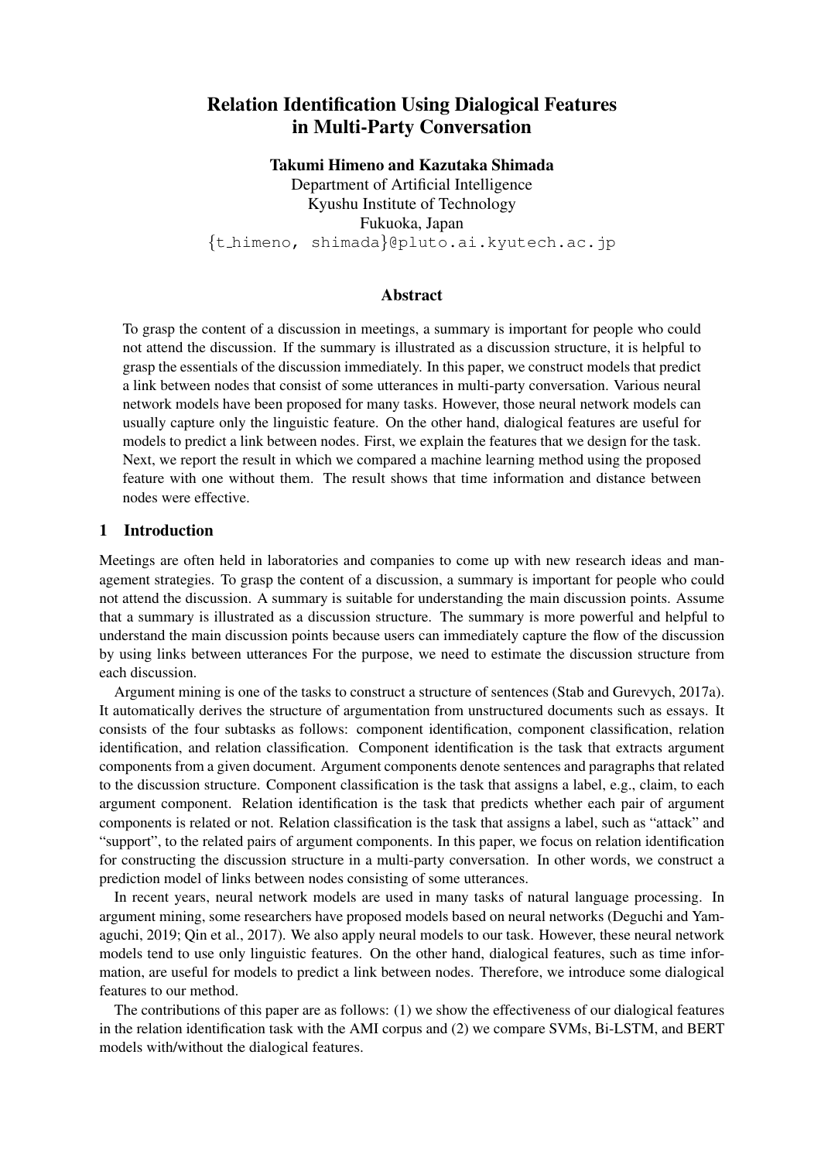# Relation Identification Using Dialogical Features in Multi-Party Conversation

Takumi Himeno and Kazutaka Shimada

Department of Artificial Intelligence Kyushu Institute of Technology Fukuoka, Japan *{*t himeno, shimada*}*@pluto.ai.kyutech.ac.jp

#### Abstract

To grasp the content of a discussion in meetings, a summary is important for people who could not attend the discussion. If the summary is illustrated as a discussion structure, it is helpful to grasp the essentials of the discussion immediately. In this paper, we construct models that predict a link between nodes that consist of some utterances in multi-party conversation. Various neural network models have been proposed for many tasks. However, those neural network models can usually capture only the linguistic feature. On the other hand, dialogical features are useful for models to predict a link between nodes. First, we explain the features that we design for the task. Next, we report the result in which we compared a machine learning method using the proposed feature with one without them. The result shows that time information and distance between nodes were effective.

# 1 Introduction

Meetings are often held in laboratories and companies to come up with new research ideas and management strategies. To grasp the content of a discussion, a summary is important for people who could not attend the discussion. A summary is suitable for understanding the main discussion points. Assume that a summary is illustrated as a discussion structure. The summary is more powerful and helpful to understand the main discussion points because users can immediately capture the flow of the discussion by using links between utterances For the purpose, we need to estimate the discussion structure from each discussion.

Argument mining is one of the tasks to construct a structure of sentences (Stab and Gurevych, 2017a). It automatically derives the structure of argumentation from unstructured documents such as essays. It consists of the four subtasks as follows: component identification, component classification, relation identification, and relation classification. Component identification is the task that extracts argument components from a given document. Argument components denote sentences and paragraphs that related to the discussion structure. Component classification is the task that assigns a label, e.g., claim, to each argument component. Relation identification is the task that predicts whether each pair of argument components is related or not. Relation classification is the task that assigns a label, such as "attack" and "support", to the related pairs of argument components. In this paper, we focus on relation identification for constructing the discussion structure in a multi-party conversation. In other words, we construct a prediction model of links between nodes consisting of some utterances.

In recent years, neural network models are used in many tasks of natural language processing. In argument mining, some researchers have proposed models based on neural networks (Deguchi and Yamaguchi, 2019; Qin et al., 2017). We also apply neural models to our task. However, these neural network models tend to use only linguistic features. On the other hand, dialogical features, such as time information, are useful for models to predict a link between nodes. Therefore, we introduce some dialogical features to our method.

The contributions of this paper are as follows: (1) we show the effectiveness of our dialogical features in the relation identification task with the AMI corpus and (2) we compare SVMs, Bi-LSTM, and BERT models with/without the dialogical features.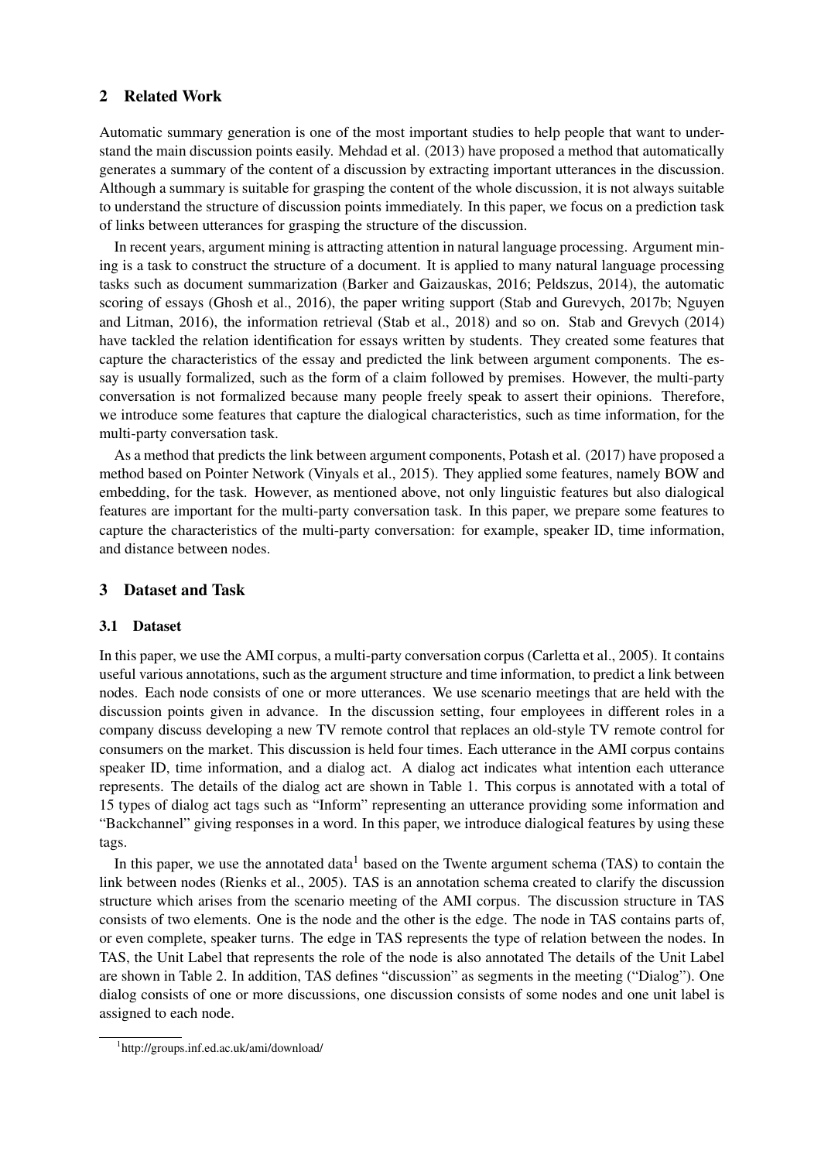#### 2 Related Work

Automatic summary generation is one of the most important studies to help people that want to understand the main discussion points easily. Mehdad et al. (2013) have proposed a method that automatically generates a summary of the content of a discussion by extracting important utterances in the discussion. Although a summary is suitable for grasping the content of the whole discussion, it is not always suitable to understand the structure of discussion points immediately. In this paper, we focus on a prediction task of links between utterances for grasping the structure of the discussion.

In recent years, argument mining is attracting attention in natural language processing. Argument mining is a task to construct the structure of a document. It is applied to many natural language processing tasks such as document summarization (Barker and Gaizauskas, 2016; Peldszus, 2014), the automatic scoring of essays (Ghosh et al., 2016), the paper writing support (Stab and Gurevych, 2017b; Nguyen and Litman, 2016), the information retrieval (Stab et al., 2018) and so on. Stab and Grevych (2014) have tackled the relation identification for essays written by students. They created some features that capture the characteristics of the essay and predicted the link between argument components. The essay is usually formalized, such as the form of a claim followed by premises. However, the multi-party conversation is not formalized because many people freely speak to assert their opinions. Therefore, we introduce some features that capture the dialogical characteristics, such as time information, for the multi-party conversation task.

As a method that predicts the link between argument components, Potash et al. (2017) have proposed a method based on Pointer Network (Vinyals et al., 2015). They applied some features, namely BOW and embedding, for the task. However, as mentioned above, not only linguistic features but also dialogical features are important for the multi-party conversation task. In this paper, we prepare some features to capture the characteristics of the multi-party conversation: for example, speaker ID, time information, and distance between nodes.

#### 3 Dataset and Task

#### 3.1 Dataset

In this paper, we use the AMI corpus, a multi-party conversation corpus (Carletta et al., 2005). It contains useful various annotations, such as the argument structure and time information, to predict a link between nodes. Each node consists of one or more utterances. We use scenario meetings that are held with the discussion points given in advance. In the discussion setting, four employees in different roles in a company discuss developing a new TV remote control that replaces an old-style TV remote control for consumers on the market. This discussion is held four times. Each utterance in the AMI corpus contains speaker ID, time information, and a dialog act. A dialog act indicates what intention each utterance represents. The details of the dialog act are shown in Table 1. This corpus is annotated with a total of 15 types of dialog act tags such as "Inform" representing an utterance providing some information and "Backchannel" giving responses in a word. In this paper, we introduce dialogical features by using these tags.

In this paper, we use the annotated data<sup>1</sup> based on the Twente argument schema (TAS) to contain the link between nodes (Rienks et al., 2005). TAS is an annotation schema created to clarify the discussion structure which arises from the scenario meeting of the AMI corpus. The discussion structure in TAS consists of two elements. One is the node and the other is the edge. The node in TAS contains parts of, or even complete, speaker turns. The edge in TAS represents the type of relation between the nodes. In TAS, the Unit Label that represents the role of the node is also annotated The details of the Unit Label are shown in Table 2. In addition, TAS defines "discussion" as segments in the meeting ("Dialog"). One dialog consists of one or more discussions, one discussion consists of some nodes and one unit label is assigned to each node.

<sup>1</sup> http://groups.inf.ed.ac.uk/ami/download/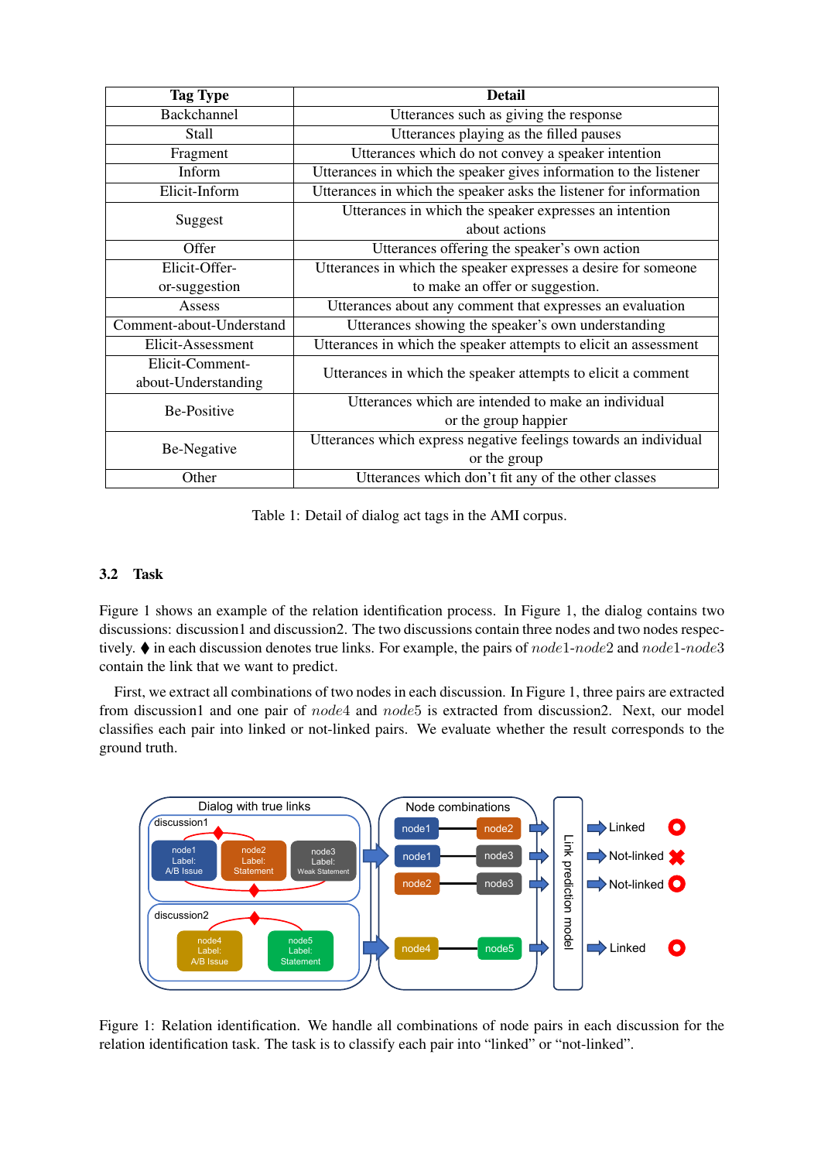| <b>Tag Type</b>          | <b>Detail</b>                                                     |  |  |  |
|--------------------------|-------------------------------------------------------------------|--|--|--|
| Backchannel              | Utterances such as giving the response                            |  |  |  |
| Stall                    | Utterances playing as the filled pauses                           |  |  |  |
| Fragment                 | Utterances which do not convey a speaker intention                |  |  |  |
| Inform                   | Utterances in which the speaker gives information to the listener |  |  |  |
| Elicit-Inform            | Utterances in which the speaker asks the listener for information |  |  |  |
| Suggest                  | Utterances in which the speaker expresses an intention            |  |  |  |
|                          | about actions                                                     |  |  |  |
| Offer                    | Utterances offering the speaker's own action                      |  |  |  |
| Elicit-Offer-            | Utterances in which the speaker expresses a desire for someone    |  |  |  |
| or-suggestion            | to make an offer or suggestion.                                   |  |  |  |
| Assess                   | Utterances about any comment that expresses an evaluation         |  |  |  |
| Comment-about-Understand | Utterances showing the speaker's own understanding                |  |  |  |
| Elicit-Assessment        | Utterances in which the speaker attempts to elicit an assessment  |  |  |  |
| Elicit-Comment-          | Utterances in which the speaker attempts to elicit a comment      |  |  |  |
| about-Understanding      |                                                                   |  |  |  |
| <b>Be-Positive</b>       | Utterances which are intended to make an individual               |  |  |  |
|                          | or the group happier                                              |  |  |  |
| Be-Negative              | Utterances which express negative feelings towards an individual  |  |  |  |
|                          | or the group                                                      |  |  |  |
| Other                    | Utterances which don't fit any of the other classes               |  |  |  |

Table 1: Detail of dialog act tags in the AMI corpus.

# 3.2 Task

Figure 1 shows an example of the relation identification process. In Figure 1, the dialog contains two discussions: discussion1 and discussion2. The two discussions contain three nodes and two nodes respectively. ♦ in each discussion denotes true links. For example, the pairs of *node*1-*node*2 and *node*1-*node*3 contain the link that we want to predict.

First, we extract all combinations of two nodes in each discussion. In Figure 1, three pairs are extracted from discussion1 and one pair of *node*4 and *node*5 is extracted from discussion2. Next, our model classifies each pair into linked or not-linked pairs. We evaluate whether the result corresponds to the ground truth.



Figure 1: Relation identification. We handle all combinations of node pairs in each discussion for the relation identification task. The task is to classify each pair into "linked" or "not-linked".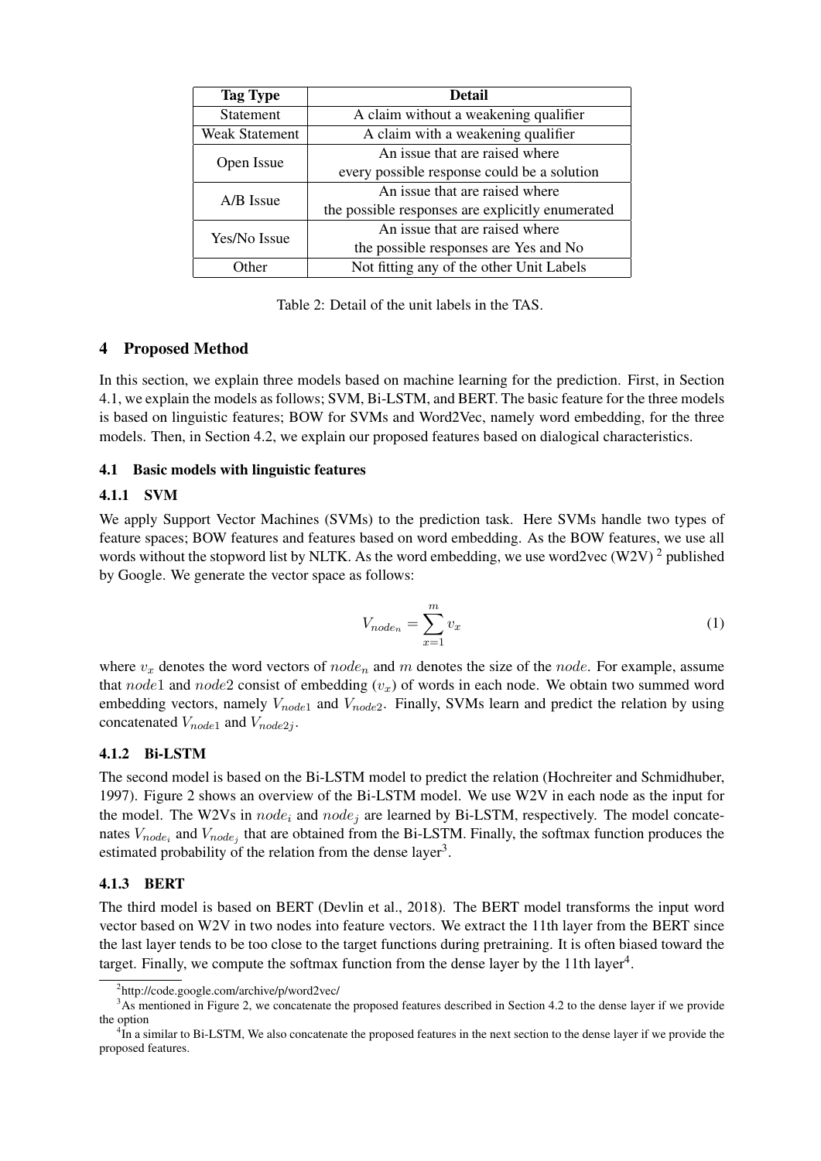| <b>Tag Type</b>       | <b>Detail</b>                                    |  |  |
|-----------------------|--------------------------------------------------|--|--|
| Statement             | A claim without a weakening qualifier            |  |  |
| <b>Weak Statement</b> | A claim with a weakening qualifier               |  |  |
|                       | An issue that are raised where                   |  |  |
| Open Issue            | every possible response could be a solution      |  |  |
| A/B Issue             | An issue that are raised where                   |  |  |
|                       | the possible responses are explicitly enumerated |  |  |
| Yes/No Issue          | An issue that are raised where                   |  |  |
|                       | the possible responses are Yes and No            |  |  |
| ∩ther                 | Not fitting any of the other Unit Labels         |  |  |

Table 2: Detail of the unit labels in the TAS.

# 4 Proposed Method

In this section, we explain three models based on machine learning for the prediction. First, in Section 4.1, we explain the models as follows; SVM, Bi-LSTM, and BERT. The basic feature for the three models is based on linguistic features; BOW for SVMs and Word2Vec, namely word embedding, for the three models. Then, in Section 4.2, we explain our proposed features based on dialogical characteristics.

# 4.1 Basic models with linguistic features

#### 4.1.1 SVM

We apply Support Vector Machines (SVMs) to the prediction task. Here SVMs handle two types of feature spaces; BOW features and features based on word embedding. As the BOW features, we use all words without the stopword list by NLTK. As the word embedding, we use word2vec (W2V)<sup>2</sup> published by Google. We generate the vector space as follows:

$$
V_{node_n} = \sum_{x=1}^{m} v_x \tag{1}
$$

where  $v_x$  denotes the word vectors of  $node_n$  and  $m$  denotes the size of the  $node$ . For example, assume that *node*1 and *node*2 consist of embedding (*vx*) of words in each node. We obtain two summed word embedding vectors, namely *Vnode*<sup>1</sup> and *Vnode*2. Finally, SVMs learn and predict the relation by using concatenated *Vnode*<sup>1</sup> and *Vnode*2*<sup>j</sup>* .

# 4.1.2 Bi-LSTM

The second model is based on the Bi-LSTM model to predict the relation (Hochreiter and Schmidhuber, 1997). Figure 2 shows an overview of the Bi-LSTM model. We use W2V in each node as the input for the model. The W2Vs in *node<sup>i</sup>* and *node<sup>j</sup>* are learned by Bi-LSTM, respectively. The model concatenates  $V_{node_i}$  and  $V_{node_j}$  that are obtained from the Bi-LSTM. Finally, the softmax function produces the estimated probability of the relation from the dense layer<sup>3</sup>.

# 4.1.3 BERT

The third model is based on BERT (Devlin et al., 2018). The BERT model transforms the input word vector based on W2V in two nodes into feature vectors. We extract the 11th layer from the BERT since the last layer tends to be too close to the target functions during pretraining. It is often biased toward the target. Finally, we compute the softmax function from the dense layer by the  $11th$  layer<sup>4</sup>.

<sup>&</sup>lt;sup>2</sup>http://code.google.com/archive/p/word2vec/

<sup>&</sup>lt;sup>3</sup>As mentioned in Figure 2, we concatenate the proposed features described in Section 4.2 to the dense layer if we provide the option

<sup>&</sup>lt;sup>4</sup>In a similar to Bi-LSTM, We also concatenate the proposed features in the next section to the dense layer if we provide the proposed features.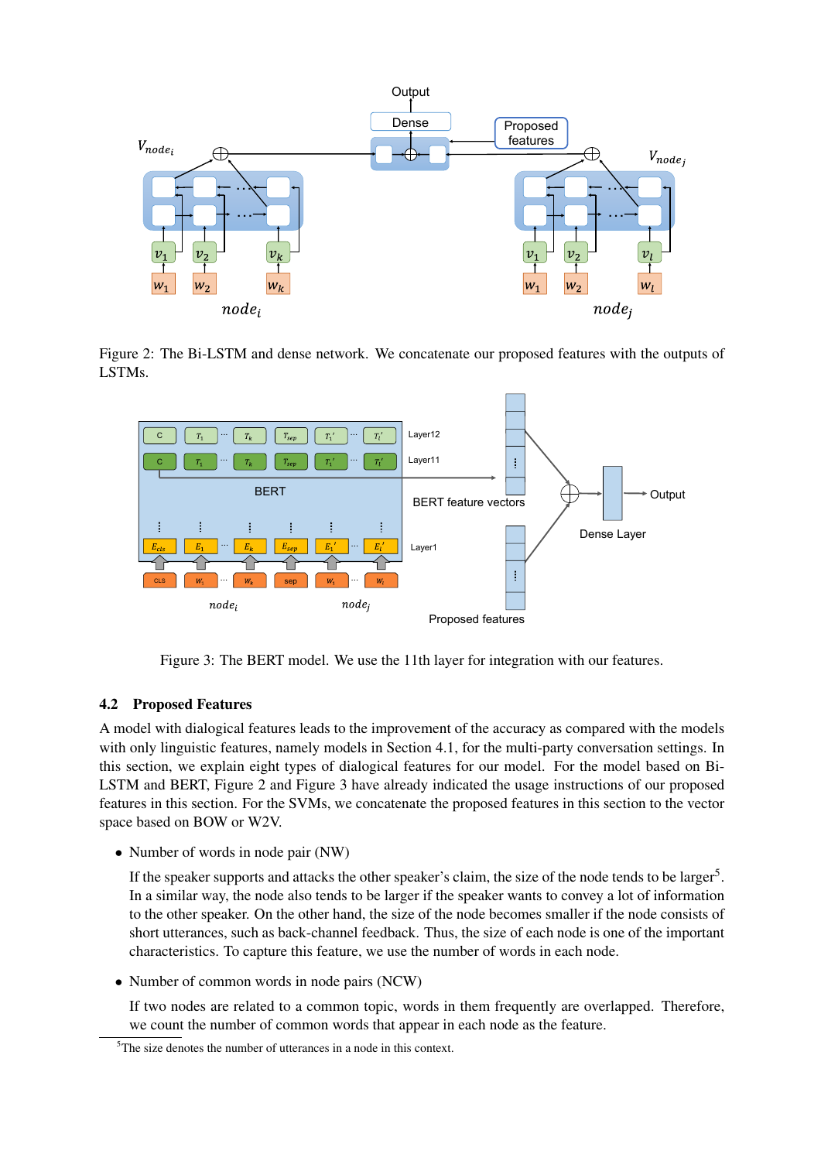

Figure 2: The Bi-LSTM and dense network. We concatenate our proposed features with the outputs of LSTMs.



Figure 3: The BERT model. We use the 11th layer for integration with our features.

# 4.2 Proposed Features

A model with dialogical features leads to the improvement of the accuracy as compared with the models with only linguistic features, namely models in Section 4.1, for the multi-party conversation settings. In this section, we explain eight types of dialogical features for our model. For the model based on Bi-LSTM and BERT, Figure 2 and Figure 3 have already indicated the usage instructions of our proposed features in this section. For the SVMs, we concatenate the proposed features in this section to the vector space based on BOW or W2V.

• Number of words in node pair (NW)

If the speaker supports and attacks the other speaker's claim, the size of the node tends to be larger<sup>5</sup>. In a similar way, the node also tends to be larger if the speaker wants to convey a lot of information to the other speaker. On the other hand, the size of the node becomes smaller if the node consists of short utterances, such as back-channel feedback. Thus, the size of each node is one of the important characteristics. To capture this feature, we use the number of words in each node.

• Number of common words in node pairs (NCW)

If two nodes are related to a common topic, words in them frequently are overlapped. Therefore, we count the number of common words that appear in each node as the feature.

<sup>&</sup>lt;sup>5</sup>The size denotes the number of utterances in a node in this context.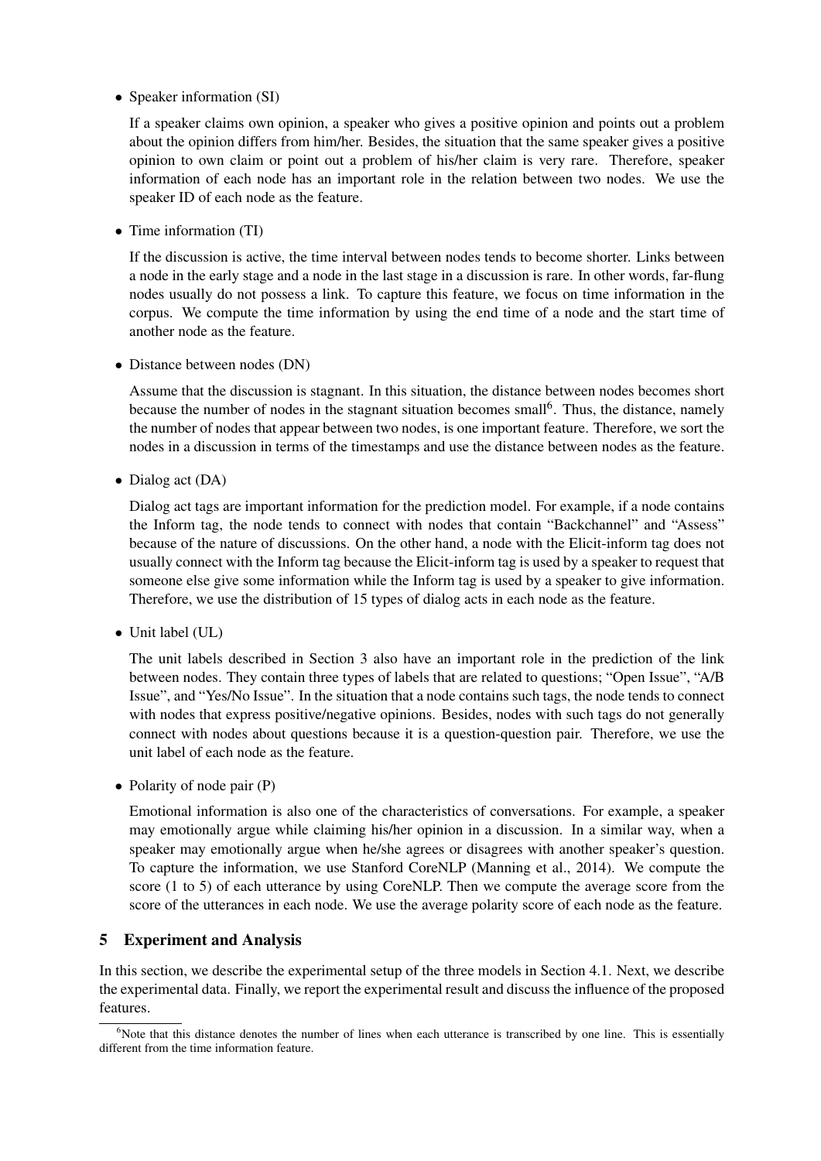*•* Speaker information (SI)

If a speaker claims own opinion, a speaker who gives a positive opinion and points out a problem about the opinion differs from him/her. Besides, the situation that the same speaker gives a positive opinion to own claim or point out a problem of his/her claim is very rare. Therefore, speaker information of each node has an important role in the relation between two nodes. We use the speaker ID of each node as the feature.

*•* Time information (TI)

If the discussion is active, the time interval between nodes tends to become shorter. Links between a node in the early stage and a node in the last stage in a discussion is rare. In other words, far-flung nodes usually do not possess a link. To capture this feature, we focus on time information in the corpus. We compute the time information by using the end time of a node and the start time of another node as the feature.

• Distance between nodes (DN)

Assume that the discussion is stagnant. In this situation, the distance between nodes becomes short because the number of nodes in the stagnant situation becomes small<sup>6</sup>. Thus, the distance, namely the number of nodes that appear between two nodes, is one important feature. Therefore, we sort the nodes in a discussion in terms of the timestamps and use the distance between nodes as the feature.

*•* Dialog act (DA)

Dialog act tags are important information for the prediction model. For example, if a node contains the Inform tag, the node tends to connect with nodes that contain "Backchannel" and "Assess" because of the nature of discussions. On the other hand, a node with the Elicit-inform tag does not usually connect with the Inform tag because the Elicit-inform tag is used by a speaker to request that someone else give some information while the Inform tag is used by a speaker to give information. Therefore, we use the distribution of 15 types of dialog acts in each node as the feature.

*•* Unit label (UL)

The unit labels described in Section 3 also have an important role in the prediction of the link between nodes. They contain three types of labels that are related to questions; "Open Issue", "A/B Issue", and "Yes/No Issue". In the situation that a node contains such tags, the node tends to connect with nodes that express positive/negative opinions. Besides, nodes with such tags do not generally connect with nodes about questions because it is a question-question pair. Therefore, we use the unit label of each node as the feature.

• Polarity of node pair (P)

Emotional information is also one of the characteristics of conversations. For example, a speaker may emotionally argue while claiming his/her opinion in a discussion. In a similar way, when a speaker may emotionally argue when he/she agrees or disagrees with another speaker's question. To capture the information, we use Stanford CoreNLP (Manning et al., 2014). We compute the score (1 to 5) of each utterance by using CoreNLP. Then we compute the average score from the score of the utterances in each node. We use the average polarity score of each node as the feature.

# 5 Experiment and Analysis

In this section, we describe the experimental setup of the three models in Section 4.1. Next, we describe the experimental data. Finally, we report the experimental result and discuss the influence of the proposed features.

 $6$ Note that this distance denotes the number of lines when each utterance is transcribed by one line. This is essentially different from the time information feature.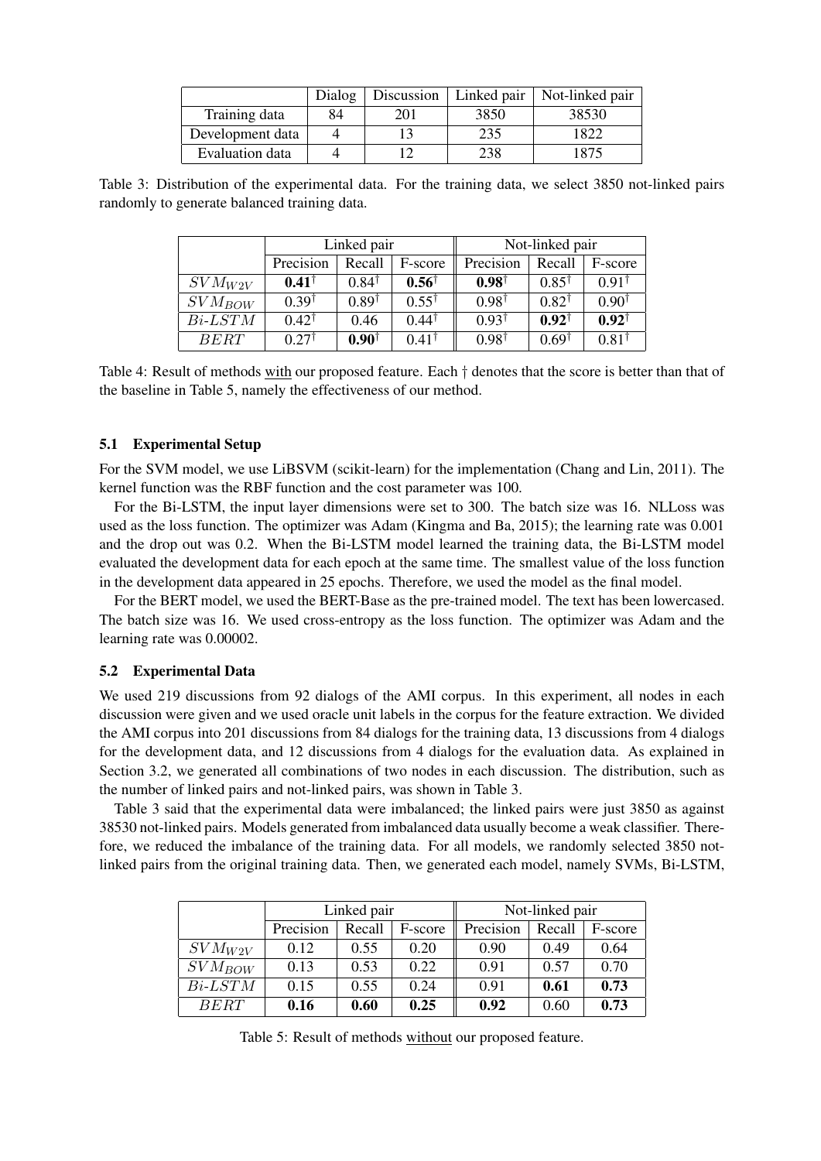|                  | Dialog | Discussion | Linked pair | Not-linked pair |
|------------------|--------|------------|-------------|-----------------|
| Training data    | 84     | 201        | 3850        | 38530           |
| Development data |        |            | 235         | 1822            |
| Evaluation data  |        |            | 238         | 1875            |

Table 3: Distribution of the experimental data. For the training data, we select 3850 not-linked pairs randomly to generate balanced training data.

|               | Linked pair      |                  |                  | Not-linked pair  |                  |                  |
|---------------|------------------|------------------|------------------|------------------|------------------|------------------|
|               | Precision        | Recall           | F-score          | Precision        | Recall           | F-score          |
| $SVM_{W2V}$   | $0.41^{\dagger}$ | $0.84^{\dagger}$ | $0.56^{\dagger}$ | $0.98^{\dagger}$ | $0.85^{\dagger}$ | $0.91^{\dagger}$ |
| $SVM_{BOW}$   | $0.39^{\dagger}$ | $0.89^{\dagger}$ | $0.55^{\dagger}$ | $0.98^{\dagger}$ | $0.82^{\dagger}$ | $0.90^{\dagger}$ |
| $Bi$ - $LSTM$ | $0.42^{\dagger}$ | 0.46             | $0.44^{\dagger}$ | $0.93^{\dagger}$ | $0.92^{\dagger}$ | $0.92^{\dagger}$ |
| <b>BERT</b>   | $0.27^{\dagger}$ | $0.90^{\dagger}$ | $0.41^{\dagger}$ | $0.98^{\dagger}$ | $0.69^{\dagger}$ | 0.81             |

Table 4: Result of methods with our proposed feature. Each *†* denotes that the score is better than that of the baseline in Table 5, namely the effectiveness of our method.

#### 5.1 Experimental Setup

For the SVM model, we use LiBSVM (scikit-learn) for the implementation (Chang and Lin, 2011). The kernel function was the RBF function and the cost parameter was 100.

For the Bi-LSTM, the input layer dimensions were set to 300. The batch size was 16. NLLoss was used as the loss function. The optimizer was Adam (Kingma and Ba, 2015); the learning rate was 0.001 and the drop out was 0.2. When the Bi-LSTM model learned the training data, the Bi-LSTM model evaluated the development data for each epoch at the same time. The smallest value of the loss function in the development data appeared in 25 epochs. Therefore, we used the model as the final model.

For the BERT model, we used the BERT-Base as the pre-trained model. The text has been lowercased. The batch size was 16. We used cross-entropy as the loss function. The optimizer was Adam and the learning rate was 0.00002.

#### 5.2 Experimental Data

We used 219 discussions from 92 dialogs of the AMI corpus. In this experiment, all nodes in each discussion were given and we used oracle unit labels in the corpus for the feature extraction. We divided the AMI corpus into 201 discussions from 84 dialogs for the training data, 13 discussions from 4 dialogs for the development data, and 12 discussions from 4 dialogs for the evaluation data. As explained in Section 3.2, we generated all combinations of two nodes in each discussion. The distribution, such as the number of linked pairs and not-linked pairs, was shown in Table 3.

Table 3 said that the experimental data were imbalanced; the linked pairs were just 3850 as against 38530 not-linked pairs. Models generated from imbalanced data usually become a weak classifier. Therefore, we reduced the imbalance of the training data. For all models, we randomly selected 3850 notlinked pairs from the original training data. Then, we generated each model, namely SVMs, Bi-LSTM,

|               | Linked pair |        |         | Not-linked pair |        |         |
|---------------|-------------|--------|---------|-----------------|--------|---------|
|               | Precision   | Recall | F-score | Precision       | Recall | F-score |
| $SVM_{W2V}$   | 0.12        | 0.55   | 0.20    | 0.90            | 0.49   | 0.64    |
| $SVM_{BOW}$   | 0.13        | 0.53   | 0.22    | 0.91            | 0.57   | 0.70    |
| $Bi$ - $LSTM$ | 0.15        | 0.55   | 0.24    | 0.91            | 0.61   | 0.73    |
| BERT          | 0.16        | 0.60   | 0.25    | 0.92            | 0.60   | 0.73    |

Table 5: Result of methods without our proposed feature.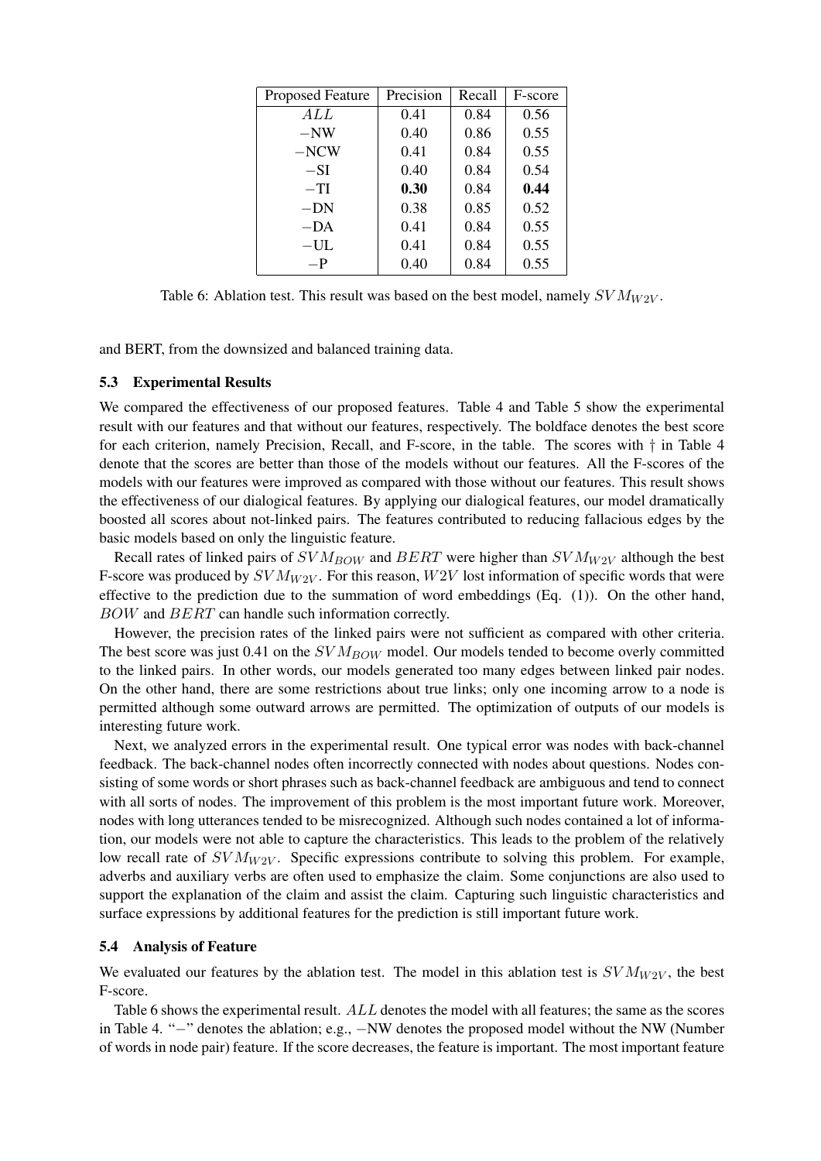| <b>Proposed Feature</b> | Precision | Recall | F-score |
|-------------------------|-----------|--------|---------|
| ALL                     | 0.41      | 0.84   | 0.56    |
| $-NW$                   | 0.40      | 0.86   | 0.55    |
| $-NCW$                  | 0.41      | 0.84   | 0.55    |
| $-SI$                   | 0.40      | 0.84   | 0.54    |
| $-TI$                   | 0.30      | 0.84   | 0.44    |
| $-DN$                   | 0.38      | 0.85   | 0.52    |
| $-DA$                   | 0.41      | 0.84   | 0.55    |
| $-UL$                   | 0.41      | 0.84   | 0.55    |
| $-P$                    | 0.40      | 0.84   | 0.55    |

Table 6: Ablation test. This result was based on the best model, namely  $SVM_{W2V}$ .

and BERT, from the downsized and balanced training data.

#### 5.3 Experimental Results

We compared the effectiveness of our proposed features. Table 4 and Table 5 show the experimental result with our features and that without our features, respectively. The boldface denotes the best score for each criterion, namely Precision, Recall, and F-score, in the table. The scores with *†* in Table 4 denote that the scores are better than those of the models without our features. All the F-scores of the models with our features were improved as compared with those without our features. This result shows the effectiveness of our dialogical features. By applying our dialogical features, our model dramatically boosted all scores about not-linked pairs. The features contributed to reducing fallacious edges by the basic models based on only the linguistic feature.

Recall rates of linked pairs of *SV MBOW* and *BERT* were higher than *SV MW*2*<sup>V</sup>* although the best F-score was produced by  $SVM_{W2V}$ . For this reason,  $W2V$  lost information of specific words that were effective to the prediction due to the summation of word embeddings (Eq. (1)). On the other hand, *BOW* and *BERT* can handle such information correctly.

However, the precision rates of the linked pairs were not sufficient as compared with other criteria. The best score was just 0.41 on the  $SVM_{BOW}$  model. Our models tended to become overly committed to the linked pairs. In other words, our models generated too many edges between linked pair nodes. On the other hand, there are some restrictions about true links; only one incoming arrow to a node is permitted although some outward arrows are permitted. The optimization of outputs of our models is interesting future work.

Next, we analyzed errors in the experimental result. One typical error was nodes with back-channel feedback. The back-channel nodes often incorrectly connected with nodes about questions. Nodes consisting of some words or short phrases such as back-channel feedback are ambiguous and tend to connect with all sorts of nodes. The improvement of this problem is the most important future work. Moreover, nodes with long utterances tended to be misrecognized. Although such nodes contained a lot of information, our models were not able to capture the characteristics. This leads to the problem of the relatively low recall rate of *SV M<sub>W2V</sub>*. Specific expressions contribute to solving this problem. For example, adverbs and auxiliary verbs are often used to emphasize the claim. Some conjunctions are also used to support the explanation of the claim and assist the claim. Capturing such linguistic characteristics and surface expressions by additional features for the prediction is still important future work.

#### 5.4 Analysis of Feature

We evaluated our features by the ablation test. The model in this ablation test is  $SVM_{W2V}$ , the best F-score.

Table 6 shows the experimental result. *ALL* denotes the model with all features; the same as the scores in Table 4. "*−*" denotes the ablation; e.g., *−*NW denotes the proposed model without the NW (Number of words in node pair) feature. If the score decreases, the feature is important. The most important feature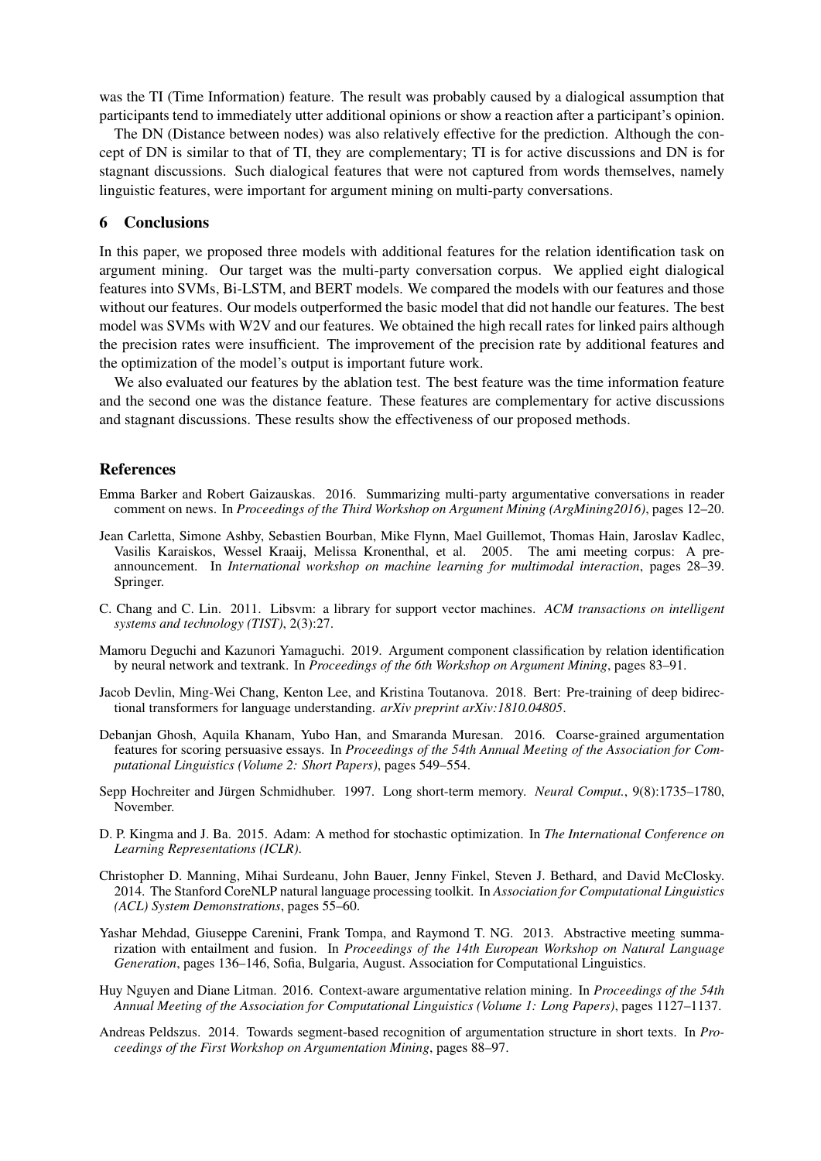was the TI (Time Information) feature. The result was probably caused by a dialogical assumption that participants tend to immediately utter additional opinions or show a reaction after a participant's opinion.

The DN (Distance between nodes) was also relatively effective for the prediction. Although the concept of DN is similar to that of TI, they are complementary; TI is for active discussions and DN is for stagnant discussions. Such dialogical features that were not captured from words themselves, namely linguistic features, were important for argument mining on multi-party conversations.

# 6 Conclusions

In this paper, we proposed three models with additional features for the relation identification task on argument mining. Our target was the multi-party conversation corpus. We applied eight dialogical features into SVMs, Bi-LSTM, and BERT models. We compared the models with our features and those without our features. Our models outperformed the basic model that did not handle our features. The best model was SVMs with W2V and our features. We obtained the high recall rates for linked pairs although the precision rates were insufficient. The improvement of the precision rate by additional features and the optimization of the model's output is important future work.

We also evaluated our features by the ablation test. The best feature was the time information feature and the second one was the distance feature. These features are complementary for active discussions and stagnant discussions. These results show the effectiveness of our proposed methods.

#### References

- Emma Barker and Robert Gaizauskas. 2016. Summarizing multi-party argumentative conversations in reader comment on news. In *Proceedings of the Third Workshop on Argument Mining (ArgMining2016)*, pages 12–20.
- Jean Carletta, Simone Ashby, Sebastien Bourban, Mike Flynn, Mael Guillemot, Thomas Hain, Jaroslav Kadlec, Vasilis Karaiskos, Wessel Kraaij, Melissa Kronenthal, et al. 2005. The ami meeting corpus: A preannouncement. In *International workshop on machine learning for multimodal interaction*, pages 28–39. Springer.
- C. Chang and C. Lin. 2011. Libsvm: a library for support vector machines. *ACM transactions on intelligent systems and technology (TIST)*, 2(3):27.
- Mamoru Deguchi and Kazunori Yamaguchi. 2019. Argument component classification by relation identification by neural network and textrank. In *Proceedings of the 6th Workshop on Argument Mining*, pages 83–91.
- Jacob Devlin, Ming-Wei Chang, Kenton Lee, and Kristina Toutanova. 2018. Bert: Pre-training of deep bidirectional transformers for language understanding. *arXiv preprint arXiv:1810.04805*.
- Debanjan Ghosh, Aquila Khanam, Yubo Han, and Smaranda Muresan. 2016. Coarse-grained argumentation features for scoring persuasive essays. In *Proceedings of the 54th Annual Meeting of the Association for Computational Linguistics (Volume 2: Short Papers)*, pages 549–554.
- Sepp Hochreiter and Jürgen Schmidhuber. 1997. Long short-term memory. *Neural Comput.*, 9(8):1735–1780, November.
- D. P. Kingma and J. Ba. 2015. Adam: A method for stochastic optimization. In *The International Conference on Learning Representations (ICLR)*.
- Christopher D. Manning, Mihai Surdeanu, John Bauer, Jenny Finkel, Steven J. Bethard, and David McClosky. 2014. The Stanford CoreNLP natural language processing toolkit. In *Association for Computational Linguistics (ACL) System Demonstrations*, pages 55–60.
- Yashar Mehdad, Giuseppe Carenini, Frank Tompa, and Raymond T. NG. 2013. Abstractive meeting summarization with entailment and fusion. In *Proceedings of the 14th European Workshop on Natural Language Generation*, pages 136–146, Sofia, Bulgaria, August. Association for Computational Linguistics.
- Huy Nguyen and Diane Litman. 2016. Context-aware argumentative relation mining. In *Proceedings of the 54th Annual Meeting of the Association for Computational Linguistics (Volume 1: Long Papers)*, pages 1127–1137.
- Andreas Peldszus. 2014. Towards segment-based recognition of argumentation structure in short texts. In *Proceedings of the First Workshop on Argumentation Mining*, pages 88–97.